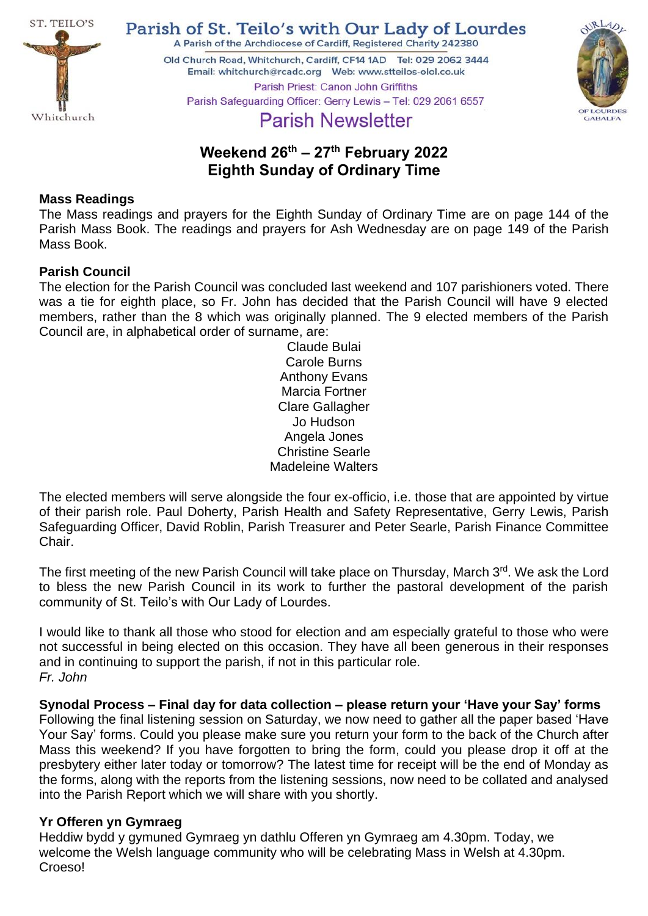

Parish of St. Teilo's with Our Lady of Lourdes A Parish of the Archdiocese of Cardiff, Registered Charity 242380

Old Church Road, Whitchurch, Cardiff, CF14 1AD Tel: 029 2062 3444 Parish Priest: Canon John Griffiths



# Parish Safeguarding Officer: Gerry Lewis - Tel: 029 2061 6557 **Parish Newsletter**

# **Weekend 26th – 27 th February 2022 Eighth Sunday of Ordinary Time**

# **Mass Readings**

The Mass readings and prayers for the Eighth Sunday of Ordinary Time are on page 144 of the Parish Mass Book. The readings and prayers for Ash Wednesday are on page 149 of the Parish Mass Book.

## **Parish Council**

The election for the Parish Council was concluded last weekend and 107 parishioners voted. There was a tie for eighth place, so Fr. John has decided that the Parish Council will have 9 elected members, rather than the 8 which was originally planned. The 9 elected members of the Parish Council are, in alphabetical order of surname, are:

Claude Bulai Carole Burns Anthony Evans Marcia Fortner Clare Gallagher Jo Hudson Angela Jones Christine Searle Madeleine Walters

The elected members will serve alongside the four ex-officio, i.e. those that are appointed by virtue of their parish role. Paul Doherty, Parish Health and Safety Representative, Gerry Lewis, Parish Safeguarding Officer, David Roblin, Parish Treasurer and Peter Searle, Parish Finance Committee Chair.

The first meeting of the new Parish Council will take place on Thursday, March 3rd. We ask the Lord to bless the new Parish Council in its work to further the pastoral development of the parish community of St. Teilo's with Our Lady of Lourdes.

I would like to thank all those who stood for election and am especially grateful to those who were not successful in being elected on this occasion. They have all been generous in their responses and in continuing to support the parish, if not in this particular role. *Fr. John*

**Synodal Process – Final day for data collection – please return your 'Have your Say' forms** Following the final listening session on Saturday, we now need to gather all the paper based 'Have Your Say' forms. Could you please make sure you return your form to the back of the Church after Mass this weekend? If you have forgotten to bring the form, could you please drop it off at the presbytery either later today or tomorrow? The latest time for receipt will be the end of Monday as the forms, along with the reports from the listening sessions, now need to be collated and analysed into the Parish Report which we will share with you shortly.

# **Yr Offeren yn Gymraeg**

Heddiw bydd y gymuned Gymraeg yn dathlu Offeren yn Gymraeg am 4.30pm. Today, we welcome the Welsh language community who will be celebrating Mass in Welsh at 4.30pm. Croeso!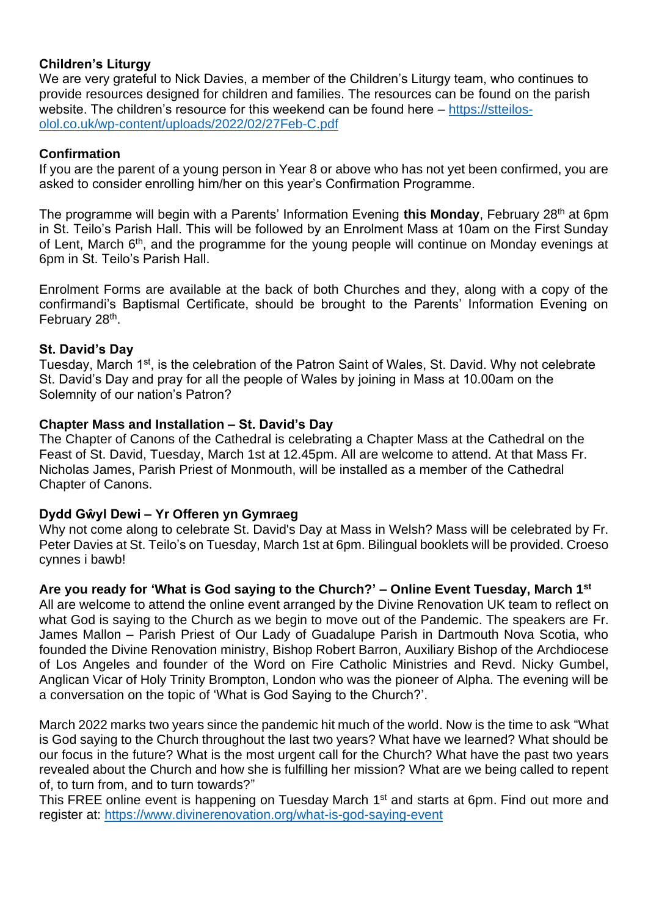# **Children's Liturgy**

We are very grateful to Nick Davies, a member of the Children's Liturgy team, who continues to provide resources designed for children and families. The resources can be found on the parish website. The children's resource for this weekend can be found here – [https://stteilos](https://stteilos-olol.co.uk/wp-content/uploads/2022/02/27Feb-C.pdf)[olol.co.uk/wp-content/uploads/2022/02/27Feb-C.pdf](https://stteilos-olol.co.uk/wp-content/uploads/2022/02/27Feb-C.pdf)

## **Confirmation**

If you are the parent of a young person in Year 8 or above who has not yet been confirmed, you are asked to consider enrolling him/her on this year's Confirmation Programme.

The programme will begin with a Parents' Information Evening this Monday, February 28<sup>th</sup> at 6pm in St. Teilo's Parish Hall. This will be followed by an Enrolment Mass at 10am on the First Sunday of Lent, March 6<sup>th</sup>, and the programme for the young people will continue on Monday evenings at 6pm in St. Teilo's Parish Hall.

Enrolment Forms are available at the back of both Churches and they, along with a copy of the confirmandi's Baptismal Certificate, should be brought to the Parents' Information Evening on February 28<sup>th</sup>.

## **St. David's Day**

Tuesday, March 1st, is the celebration of the Patron Saint of Wales, St. David. Why not celebrate St. David's Day and pray for all the people of Wales by joining in Mass at 10.00am on the Solemnity of our nation's Patron?

## **Chapter Mass and Installation – St. David's Day**

The Chapter of Canons of the Cathedral is celebrating a Chapter Mass at the Cathedral on the Feast of St. David, Tuesday, March 1st at 12.45pm. All are welcome to attend. At that Mass Fr. Nicholas James, Parish Priest of Monmouth, will be installed as a member of the Cathedral Chapter of Canons.

# **Dydd Gŵyl Dewi – Yr Offeren yn Gymraeg**

Why not come along to celebrate St. David's Day at Mass in Welsh? Mass will be celebrated by Fr. Peter Davies at St. Teilo's on Tuesday, March 1st at 6pm. Bilingual booklets will be provided. Croeso cynnes i bawb!

# **Are you ready for 'What is God saying to the Church?' – Online Event Tuesday, March 1st**

All are welcome to attend the online event arranged by the Divine Renovation UK team to reflect on what God is saying to the Church as we begin to move out of the Pandemic. The speakers are Fr. James Mallon – Parish Priest of Our Lady of Guadalupe Parish in Dartmouth Nova Scotia, who founded the Divine Renovation ministry, Bishop Robert Barron, Auxiliary Bishop of the Archdiocese of Los Angeles and founder of the Word on Fire Catholic Ministries and Revd. Nicky Gumbel, Anglican Vicar of Holy Trinity Brompton, London who was the pioneer of Alpha. The evening will be a conversation on the topic of 'What is God Saying to the Church?'.

March 2022 marks two years since the pandemic hit much of the world. Now is the time to ask "What is God saying to the Church throughout the last two years? What have we learned? What should be our focus in the future? What is the most urgent call for the Church? What have the past two years revealed about the Church and how she is fulfilling her mission? What are we being called to repent of, to turn from, and to turn towards?"

This FREE online event is happening on Tuesday March 1<sup>st</sup> and starts at 6pm. Find out more and register at: <https://www.divinerenovation.org/what-is-god-saying-event>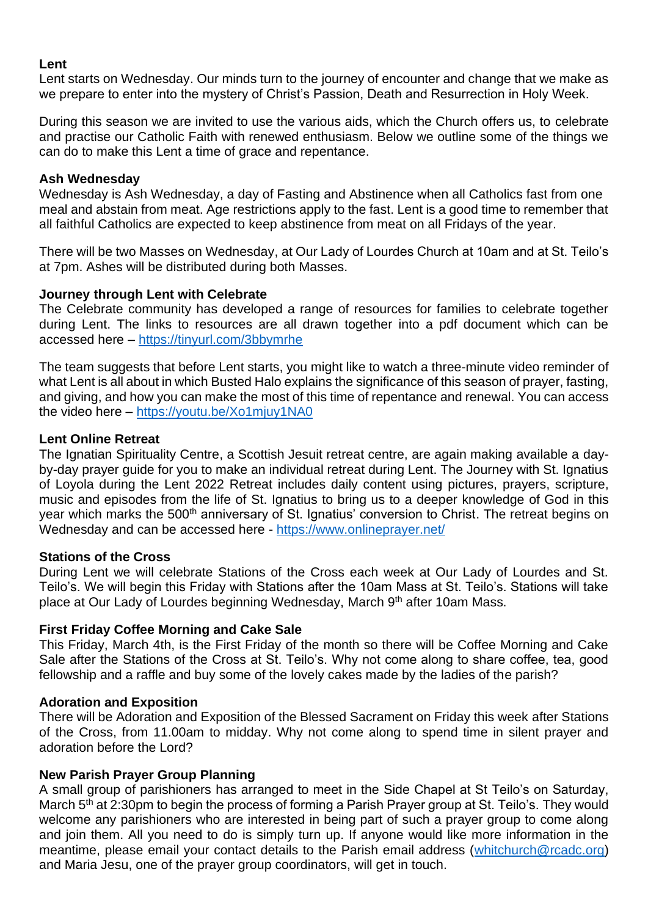### **Lent**

Lent starts on Wednesday. Our minds turn to the journey of encounter and change that we make as we prepare to enter into the mystery of Christ's Passion, Death and Resurrection in Holy Week.

During this season we are invited to use the various aids, which the Church offers us, to celebrate and practise our Catholic Faith with renewed enthusiasm. Below we outline some of the things we can do to make this Lent a time of grace and repentance.

#### **Ash Wednesday**

Wednesday is Ash Wednesday, a day of Fasting and Abstinence when all Catholics fast from one meal and abstain from meat. Age restrictions apply to the fast. Lent is a good time to remember that all faithful Catholics are expected to keep abstinence from meat on all Fridays of the year.

There will be two Masses on Wednesday, at Our Lady of Lourdes Church at 10am and at St. Teilo's at 7pm. Ashes will be distributed during both Masses.

#### **Journey through Lent with Celebrate**

The Celebrate community has developed a range of resources for families to celebrate together during Lent. The links to resources are all drawn together into a pdf document which can be accessed here – <https://tinyurl.com/3bbymrhe>

The team suggests that before Lent starts, you might like to watch a three-minute video reminder of what Lent is all about in which Busted Halo explains the significance of this season of prayer, fasting, and giving, and how you can make the most of this time of repentance and renewal. You can access the video here – <https://youtu.be/Xo1mjuy1NA0>

#### **Lent Online Retreat**

The Ignatian Spirituality Centre, a Scottish Jesuit retreat centre, are again making available a dayby-day prayer guide for you to make an individual retreat during Lent. The Journey with St. Ignatius of Loyola during the Lent 2022 Retreat includes daily content using pictures, prayers, scripture, music and episodes from the life of St. Ignatius to bring us to a deeper knowledge of God in this year which marks the 500<sup>th</sup> anniversary of St. Ignatius' conversion to Christ. The retreat begins on Wednesday and can be accessed here - <https://www.onlineprayer.net/>

#### **Stations of the Cross**

During Lent we will celebrate Stations of the Cross each week at Our Lady of Lourdes and St. Teilo's. We will begin this Friday with Stations after the 10am Mass at St. Teilo's. Stations will take place at Our Lady of Lourdes beginning Wednesday, March 9th after 10am Mass.

#### **First Friday Coffee Morning and Cake Sale**

This Friday, March 4th, is the First Friday of the month so there will be Coffee Morning and Cake Sale after the Stations of the Cross at St. Teilo's. Why not come along to share coffee, tea, good fellowship and a raffle and buy some of the lovely cakes made by the ladies of the parish?

#### **Adoration and Exposition**

There will be Adoration and Exposition of the Blessed Sacrament on Friday this week after Stations of the Cross, from 11.00am to midday. Why not come along to spend time in silent prayer and adoration before the Lord?

#### **New Parish Prayer Group Planning**

A small group of parishioners has arranged to meet in the Side Chapel at St Teilo's on Saturday, March 5<sup>th</sup> at 2:30pm to begin the process of forming a Parish Prayer group at St. Teilo's. They would welcome any parishioners who are interested in being part of such a prayer group to come along and join them. All you need to do is simply turn up. If anyone would like more information in the meantime, please email your contact details to the Parish email address [\(whitchurch@rcadc.org\)](mailto:whitchurch@rcadc.org) and Maria Jesu, one of the prayer group coordinators, will get in touch.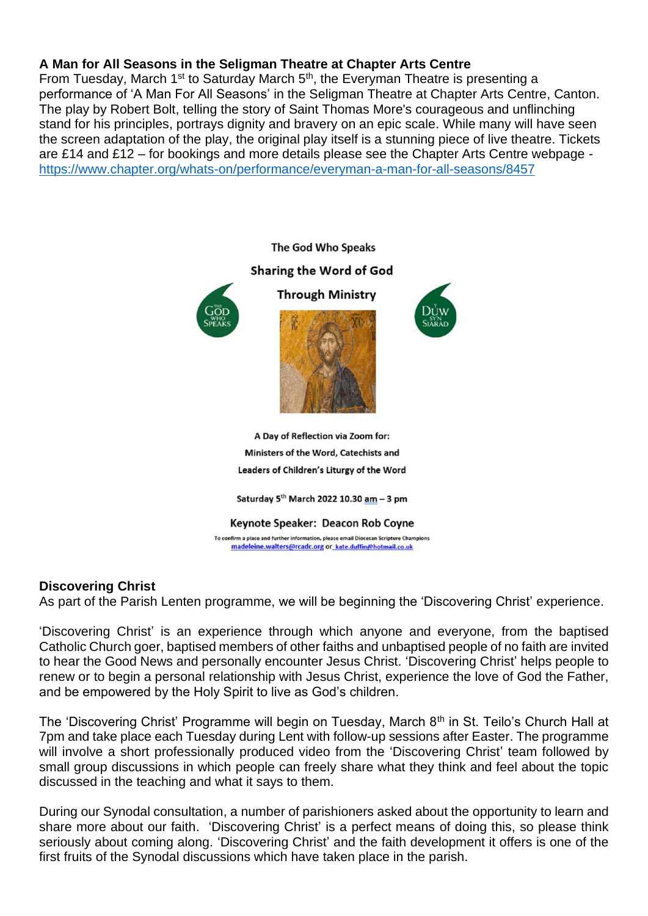## **A Man for All Seasons in the Seligman Theatre at Chapter Arts Centre**

From Tuesday, March  $1<sup>st</sup>$  to Saturday March  $5<sup>th</sup>$ , the Everyman Theatre is presenting a performance of 'A Man For All Seasons' in the Seligman Theatre at Chapter Arts Centre, Canton. The play by Robert Bolt, telling the story of Saint Thomas More's courageous and unflinching stand for his principles, portrays dignity and bravery on an epic scale. While many will have seen the screen adaptation of the play, the original play itself is a stunning piece of live theatre. Tickets are £14 and £12 – for bookings and more details please see the Chapter Arts Centre webpage <https://www.chapter.org/whats-on/performance/everyman-a-man-for-all-seasons/8457>



### **Discovering Christ**

As part of the Parish Lenten programme, we will be beginning the 'Discovering Christ' experience.

'Discovering Christ' is an experience through which anyone and everyone, from the baptised Catholic Church goer, baptised members of other faiths and unbaptised people of no faith are invited to hear the Good News and personally encounter Jesus Christ. 'Discovering Christ' helps people to renew or to begin a personal relationship with Jesus Christ, experience the love of God the Father, and be empowered by the Holy Spirit to live as God's children.

The 'Discovering Christ' Programme will begin on Tuesday, March 8<sup>th</sup> in St. Teilo's Church Hall at 7pm and take place each Tuesday during Lent with follow-up sessions after Easter. The programme will involve a short professionally produced video from the 'Discovering Christ' team followed by small group discussions in which people can freely share what they think and feel about the topic discussed in the teaching and what it says to them.

During our Synodal consultation, a number of parishioners asked about the opportunity to learn and share more about our faith. 'Discovering Christ' is a perfect means of doing this, so please think seriously about coming along. 'Discovering Christ' and the faith development it offers is one of the first fruits of the Synodal discussions which have taken place in the parish.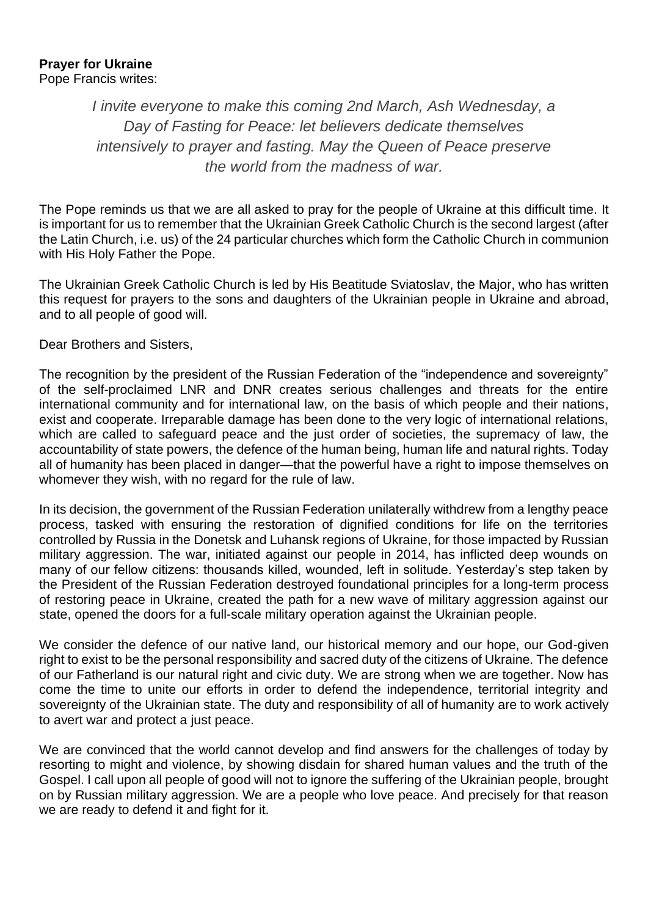#### **Prayer for Ukraine** Pope Francis writes:

*I invite everyone to make this coming 2nd March, Ash Wednesday, a Day of Fasting for Peace: let believers dedicate themselves intensively to prayer and fasting. May the Queen of Peace preserve the world from the madness of war.*

The Pope reminds us that we are all asked to pray for the people of Ukraine at this difficult time. It is important for us to remember that the Ukrainian Greek Catholic Church is the second largest (after the Latin Church, i.e. us) of the 24 particular churches which form the Catholic Church in communion with His Holy Father the Pope.

The Ukrainian Greek Catholic Church is led by His Beatitude Sviatoslav, the Major, who has written this request for prayers to the sons and daughters of the Ukrainian people in Ukraine and abroad, and to all people of good will.

Dear Brothers and Sisters,

The recognition by the president of the Russian Federation of the "independence and sovereignty" of the self-proclaimed LNR and DNR creates serious challenges and threats for the entire international community and for international law, on the basis of which people and their nations, exist and cooperate. Irreparable damage has been done to the very logic of international relations, which are called to safeguard peace and the just order of societies, the supremacy of law, the accountability of state powers, the defence of the human being, human life and natural rights. Today all of humanity has been placed in danger—that the powerful have a right to impose themselves on whomever they wish, with no regard for the rule of law.

In its decision, the government of the Russian Federation unilaterally withdrew from a lengthy peace process, tasked with ensuring the restoration of dignified conditions for life on the territories controlled by Russia in the Donetsk and Luhansk regions of Ukraine, for those impacted by Russian military aggression. The war, initiated against our people in 2014, has inflicted deep wounds on many of our fellow citizens: thousands killed, wounded, left in solitude. Yesterday's step taken by the President of the Russian Federation destroyed foundational principles for a long-term process of restoring peace in Ukraine, created the path for a new wave of military aggression against our state, opened the doors for a full-scale military operation against the Ukrainian people.

We consider the defence of our native land, our historical memory and our hope, our God-given right to exist to be the personal responsibility and sacred duty of the citizens of Ukraine. The defence of our Fatherland is our natural right and civic duty. We are strong when we are together. Now has come the time to unite our efforts in order to defend the independence, territorial integrity and sovereignty of the Ukrainian state. The duty and responsibility of all of humanity are to work actively to avert war and protect a just peace.

We are convinced that the world cannot develop and find answers for the challenges of today by resorting to might and violence, by showing disdain for shared human values and the truth of the Gospel. I call upon all people of good will not to ignore the suffering of the Ukrainian people, brought on by Russian military aggression. We are a people who love peace. And precisely for that reason we are ready to defend it and fight for it.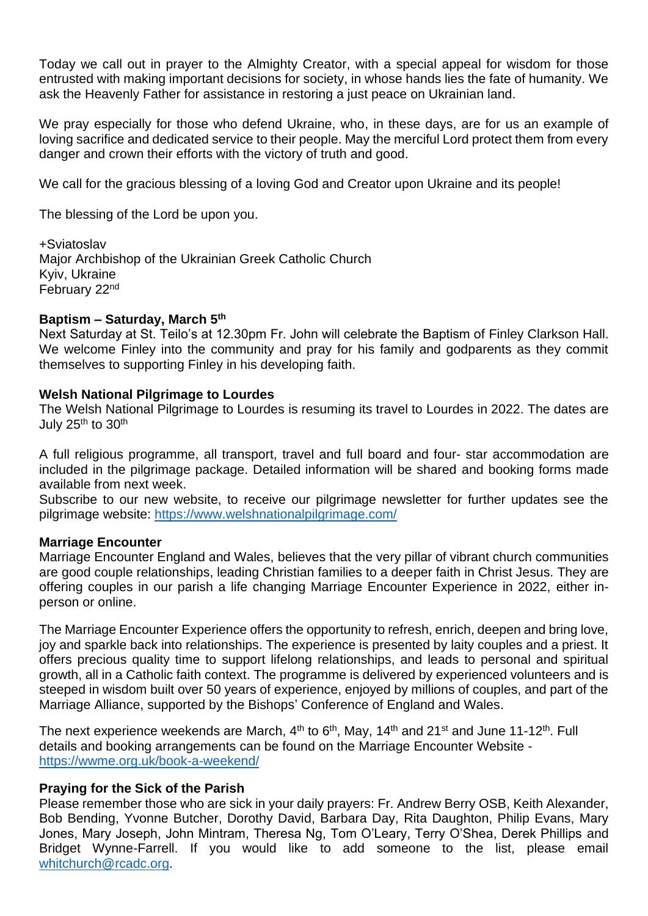Today we call out in prayer to the Almighty Creator, with a special appeal for wisdom for those entrusted with making important decisions for society, in whose hands lies the fate of humanity. We ask the Heavenly Father for assistance in restoring a just peace on Ukrainian land.

We pray especially for those who defend Ukraine, who, in these days, are for us an example of loving sacrifice and dedicated service to their people. May the merciful Lord protect them from every danger and crown their efforts with the victory of truth and good.

We call for the gracious blessing of a loving God and Creator upon Ukraine and its people!

The blessing of the Lord be upon you.

+Sviatoslav Major Archbishop of the Ukrainian Greek Catholic Church Kyiv, Ukraine February 22nd

#### **Baptism – Saturday, March 5th**

Next Saturday at St. Teilo's at 12.30pm Fr. John will celebrate the Baptism of Finley Clarkson Hall. We welcome Finley into the community and pray for his family and godparents as they commit themselves to supporting Finley in his developing faith.

#### **Welsh National Pilgrimage to Lourdes**

The Welsh National Pilgrimage to Lourdes is resuming its travel to Lourdes in 2022. The dates are July 25<sup>th</sup> to 30<sup>th</sup>

A full religious programme, all transport, travel and full board and four- star accommodation are included in the pilgrimage package. Detailed information will be shared and booking forms made available from next week.

Subscribe to our new website, to receive our pilgrimage newsletter for further updates see the pilgrimage website:<https://www.welshnationalpilgrimage.com/>

### **Marriage Encounter**

Marriage Encounter England and Wales, believes that the very pillar of vibrant church communities are good couple relationships, leading Christian families to a deeper faith in Christ Jesus. They are offering couples in our parish a life changing Marriage Encounter Experience in 2022, either inperson or online.

The Marriage Encounter Experience offers the opportunity to refresh, enrich, deepen and bring love, joy and sparkle back into relationships. The experience is presented by laity couples and a priest. It offers precious quality time to support lifelong relationships, and leads to personal and spiritual growth, all in a Catholic faith context. The programme is delivered by experienced volunteers and is steeped in wisdom built over 50 years of experience, enjoyed by millions of couples, and part of the Marriage Alliance, supported by the Bishops' Conference of England and Wales.

The next experience weekends are March,  $4<sup>th</sup>$  to 6<sup>th</sup>, May, 14<sup>th</sup> and 21<sup>st</sup> and June 11-12<sup>th</sup>. Full details and booking arrangements can be found on the Marriage Encounter Website <https://wwme.org.uk/book-a-weekend/>

### **Praying for the Sick of the Parish**

Please remember those who are sick in your daily prayers: Fr. Andrew Berry OSB, Keith Alexander, Bob Bending, Yvonne Butcher, Dorothy David, Barbara Day, Rita Daughton, Philip Evans, Mary Jones, Mary Joseph, John Mintram, Theresa Ng, Tom O'Leary, Terry O'Shea, Derek Phillips and Bridget Wynne-Farrell. If you would like to add someone to the list, please email [whitchurch@rcadc.org.](mailto:whitchurch@rcadc.org)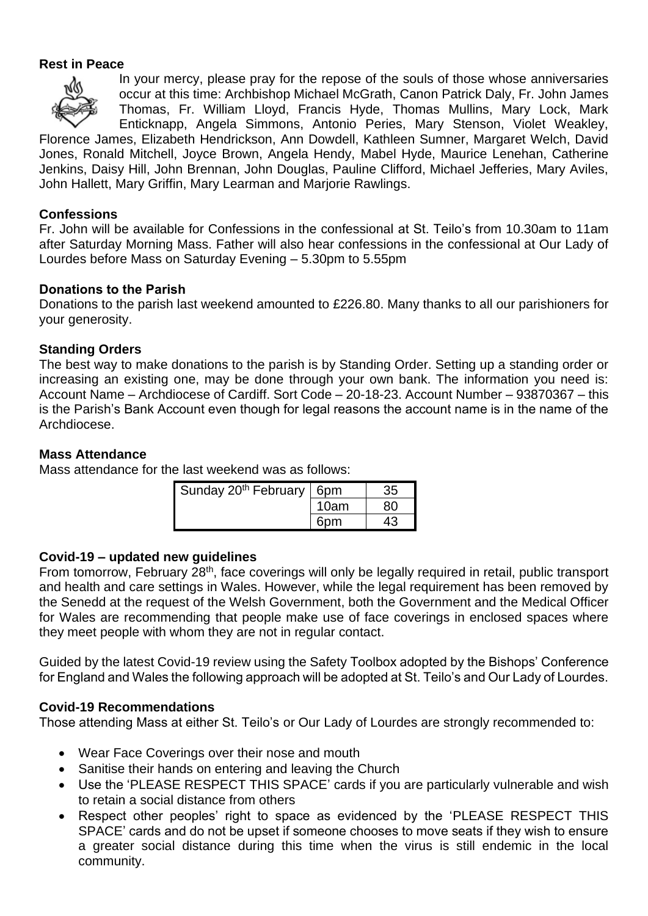### **Rest in Peace**



In your mercy, please pray for the repose of the souls of those whose anniversaries occur at this time: Archbishop Michael McGrath, Canon Patrick Daly, Fr. John James Thomas, Fr. William Lloyd, Francis Hyde, Thomas Mullins, Mary Lock, Mark Enticknapp, Angela Simmons, Antonio Peries, Mary Stenson, Violet Weakley,

Florence James, Elizabeth Hendrickson, Ann Dowdell, Kathleen Sumner, Margaret Welch, David Jones, Ronald Mitchell, Joyce Brown, Angela Hendy, Mabel Hyde, Maurice Lenehan, Catherine Jenkins, Daisy Hill, John Brennan, John Douglas, Pauline Clifford, Michael Jefferies, Mary Aviles, John Hallett, Mary Griffin, Mary Learman and Marjorie Rawlings.

## **Confessions**

Fr. John will be available for Confessions in the confessional at St. Teilo's from 10.30am to 11am after Saturday Morning Mass. Father will also hear confessions in the confessional at Our Lady of Lourdes before Mass on Saturday Evening – 5.30pm to 5.55pm

## **Donations to the Parish**

Donations to the parish last weekend amounted to £226.80. Many thanks to all our parishioners for your generosity.

## **Standing Orders**

The best way to make donations to the parish is by Standing Order. Setting up a standing order or increasing an existing one, may be done through your own bank. The information you need is: Account Name – Archdiocese of Cardiff. Sort Code – 20-18-23. Account Number – 93870367 – this is the Parish's Bank Account even though for legal reasons the account name is in the name of the Archdiocese.

## **Mass Attendance**

Mass attendance for the last weekend was as follows:

| Sunday 20 <sup>th</sup> February | 6 <sub>pm</sub> |  |
|----------------------------------|-----------------|--|
|                                  | 10am            |  |
|                                  | Ƙnm             |  |

### **Covid-19 – updated new guidelines**

From tomorrow, February 28<sup>th</sup>, face coverings will only be legally required in retail, public transport and health and care settings in Wales. However, while the legal requirement has been removed by the Senedd at the request of the Welsh Government, both the Government and the Medical Officer for Wales are recommending that people make use of face coverings in enclosed spaces where they meet people with whom they are not in regular contact.

Guided by the latest Covid-19 review using the Safety Toolbox adopted by the Bishops' Conference for England and Wales the following approach will be adopted at St. Teilo's and Our Lady of Lourdes.

### **Covid-19 Recommendations**

Those attending Mass at either St. Teilo's or Our Lady of Lourdes are strongly recommended to:

- Wear Face Coverings over their nose and mouth
- Sanitise their hands on entering and leaving the Church
- Use the 'PLEASE RESPECT THIS SPACE' cards if you are particularly vulnerable and wish to retain a social distance from others
- Respect other peoples' right to space as evidenced by the 'PLEASE RESPECT THIS SPACE' cards and do not be upset if someone chooses to move seats if they wish to ensure a greater social distance during this time when the virus is still endemic in the local community.